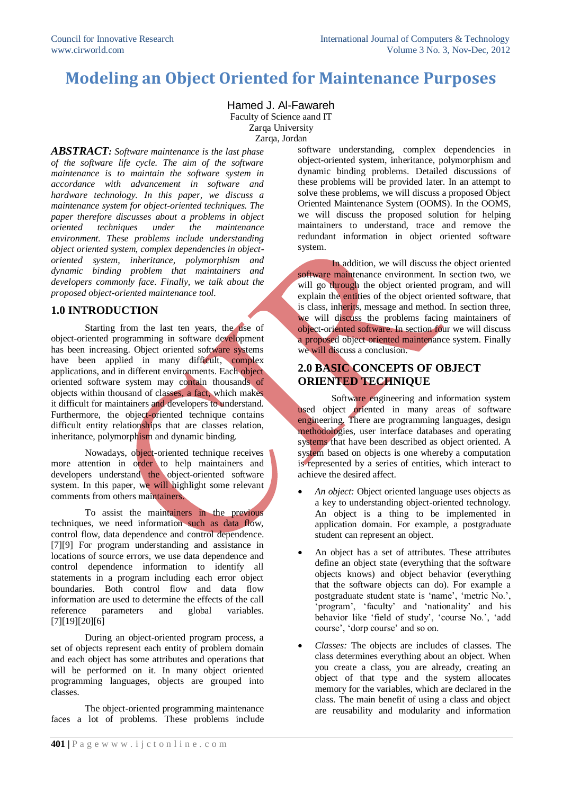# **Modeling an Object Oriented for Maintenance Purposes**

Hamed J. Al-Fawareh

Faculty of Science aand IT Zarqa University Zarqa, Jordan

*ABSTRACT: Software maintenance is the last phase of the software life cycle. The aim of the software maintenance is to maintain the software system in accordance with advancement in software and hardware technology. In this paper, we discuss a maintenance system for object-oriented techniques. The paper therefore discusses about a problems in object oriented techniques under the maintenance environment. These problems include understanding object oriented system, complex dependencies in objectoriented system, inheritance, polymorphism and dynamic binding problem that maintainers and developers commonly face. Finally, we talk about the proposed object-oriented maintenance tool.*

### **1.0 INTRODUCTION**

Starting from the last ten years, the use of object-oriented programming in software development has been increasing. Object oriented software systems have been applied in many difficult, complex applications, and in different environments. Each object oriented software system may contain thousands of objects within thousand of classes, a fact, which makes it difficult for maintainers and developers to understand. Furthermore, the object-oriented technique contains difficult entity relationships that are classes relation, inheritance, polymorphism and dynamic binding.

Nowadays, object-oriented technique receives more attention in order to help maintainers and developers understand the object-oriented software system. In this paper, we will highlight some relevant comments from others maintainers.

To assist the maintainers in the previous techniques, we need information such as data flow, control flow, data dependence and control dependence. [7][9] For program understanding and assistance in locations of source errors, we use data dependence and control dependence information to identify all statements in a program including each error object boundaries. Both control flow and data flow information are used to determine the effects of the call reference parameters and global variables. [7][19][20][6]

During an object-oriented program process, a set of objects represent each entity of problem domain and each object has some attributes and operations that will be performed on it. In many object oriented programming languages, objects are grouped into classes.

The object-oriented programming maintenance faces a lot of problems. These problems include

software understanding, complex dependencies in object-oriented system, inheritance, polymorphism and dynamic binding problems. Detailed discussions of these problems will be provided later. In an attempt to solve these problems, we will discuss a proposed Object Oriented Maintenance System (OOMS). In the OOMS, we will discuss the proposed solution for helping maintainers to understand, trace and remove the redundant information in object oriented software system.

In addition, we will discuss the object oriented software maintenance environment. In section two, we will go through the object oriented program, and will explain the entities of the object oriented software, that is class, inherits, message and method. In section three, we will discuss the problems facing maintainers of object-oriented software. In section four we will discuss a proposed object oriented maintenance system. Finally we will discuss a conclusion.

# **2.0 BASIC CONCEPTS OF OBJECT ORIENTED TECHNIQUE**

Software engineering and information system used object oriented in many areas of software engineering. There are programming languages, design methodologies, user interface databases and operating systems that have been described as object oriented. A system based on objects is one whereby a computation is represented by a series of entities, which interact to achieve the desired affect.

- *An object:* Object oriented language uses objects as a key to understanding object-oriented technology. An object is a thing to be implemented in application domain. For example, a postgraduate student can represent an object.
- An object has a set of attributes. These attributes define an object state (everything that the software objects knows) and object behavior (everything that the software objects can do). For example a postgraduate student state is "name", "metric No.", 'program', 'faculty' and 'nationality' and his behavior like 'field of study', 'course No.', 'add course", "dorp course" and so on.
- *Classes:* The objects are includes of classes. The class determines everything about an object. When you create a class, you are already, creating an object of that type and the system allocates memory for the variables, which are declared in the class. The main benefit of using a class and object are reusability and modularity and information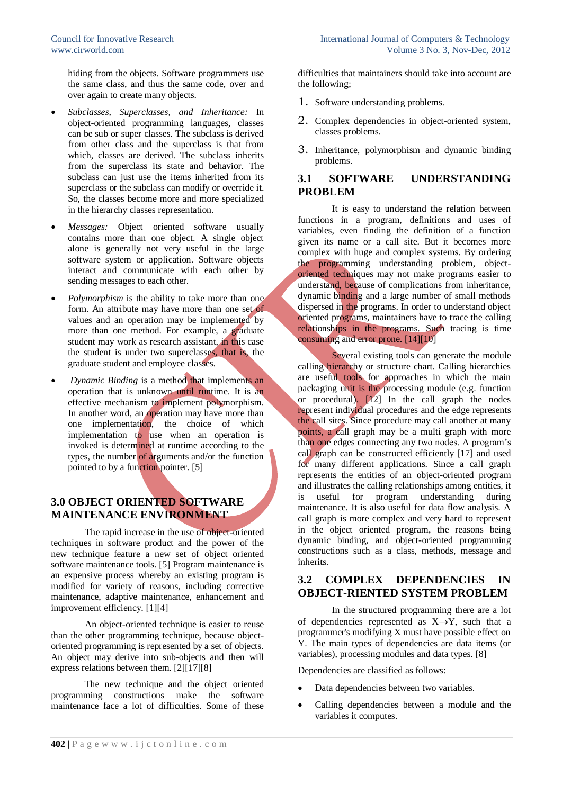hiding from the objects. Software programmers use the same class, and thus the same code, over and over again to create many objects.

- *Subclasses, Superclasses, and Inheritance:* In object-oriented programming languages, classes can be sub or super classes. The subclass is derived from other class and the superclass is that from which, classes are derived. The subclass inherits from the superclass its state and behavior. The subclass can just use the items inherited from its superclass or the subclass can modify or override it. So, the classes become more and more specialized in the hierarchy classes representation.
- *Messages:* Object oriented software usually contains more than one object. A single object alone is generally not very useful in the large software system or application. Software objects interact and communicate with each other by sending messages to each other.
- *Polymorphism* is the ability to take more than one form. An attribute may have more than one set of values and an operation may be implemented by more than one method. For example, a graduate student may work as research assistant, in this case the student is under two superclasses, that is, the graduate student and employee classes.
- *Dynamic Binding* is a method that implements an operation that is unknown until runtime. It is an effective mechanism to implement polymorphism. In another word, an operation may have more than one implementation, the choice of which implementation to use when an operation is invoked is determined at runtime according to the types, the number of arguments and/or the function pointed to by a function pointer. [5]

# **3.0 OBJECT ORIENTED SOFTWARE MAINTENANCE ENVIRONMENT**

The rapid increase in the use of object-oriented techniques in software product and the power of the new technique feature a new set of object oriented software maintenance tools. [5] Program maintenance is an expensive process whereby an existing program is modified for variety of reasons, including corrective maintenance, adaptive maintenance, enhancement and improvement efficiency. [1][4]

An object-oriented technique is easier to reuse than the other programming technique, because objectoriented programming is represented by a set of objects. An object may derive into sub-objects and then will express relations between them. [2][17][8]

The new technique and the object oriented programming constructions make the software maintenance face a lot of difficulties. Some of these difficulties that maintainers should take into account are the following;

- 1. Software understanding problems.
- 2. Complex dependencies in object-oriented system, classes problems.
- 3. Inheritance, polymorphism and dynamic binding problems.

# **3.1 SOFTWARE UNDERSTANDING PROBLEM**

It is easy to understand the relation between functions in a program, definitions and uses of variables, even finding the definition of a function given its name or a call site. But it becomes more complex with huge and complex systems. By ordering the programming understanding problem, objectoriented techniques may not make programs easier to understand, because of complications from inheritance, dynamic binding and a large number of small methods dispersed in the programs. In order to understand object oriented programs, maintainers have to trace the calling relationships in the programs. Such tracing is time consuming and error prone. [14][10]

Several existing tools can generate the module calling hierarchy or structure chart. Calling hierarchies are useful tools for approaches in which the main packaging unit is the processing module (e.g. function or procedural). [12] In the call graph the nodes represent individual procedures and the edge represents the call sites. Since procedure may call another at many points, a call graph may be a multi graph with more than one edges connecting any two nodes. A program"s call graph can be constructed efficiently [17] and used for many different applications. Since a call graph represents the entities of an object-oriented program and illustrates the calling relationships among entities, it is useful for program understanding during maintenance. It is also useful for data flow analysis. A call graph is more complex and very hard to represent in the object oriented program, the reasons being dynamic binding, and object-oriented programming constructions such as a class, methods, message and inherits.

### **3.2 COMPLEX DEPENDENCIES IN OBJECT-RIENTED SYSTEM PROBLEM**

In the structured programming there are a lot of dependencies represented as  $X \rightarrow Y$ , such that a programmer's modifying X must have possible effect on Y. The main types of dependencies are data items (or variables), processing modules and data types. [8]

Dependencies are classified as follows:

- Data dependencies between two variables.
- Calling dependencies between a module and the variables it computes.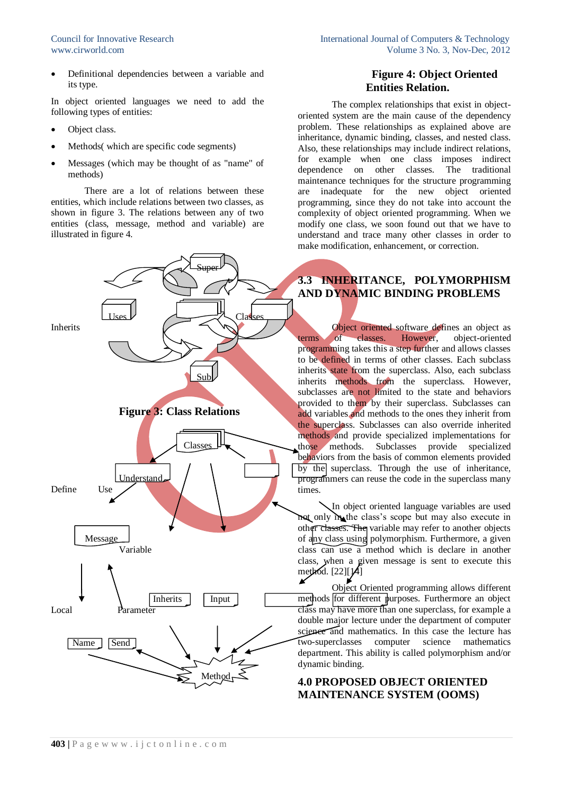Definitional dependencies between a variable and its type.

In object oriented languages we need to add the following types of entities:

- Object class.
- Methods( which are specific code segments)
- Messages (which may be thought of as "name" of methods)

There are a lot of relations between these entities, which include relations between two classes, as shown in figure 3. The relations between any of two entities (class, message, method and variable) are illustrated in figure 4.



### **Figure 4: Object Oriented Entities Relation.**

The complex relationships that exist in objectoriented system are the main cause of the dependency problem. These relationships as explained above are inheritance, dynamic binding, classes, and nested class. Also, these relationships may include indirect relations, for example when one class imposes indirect dependence on other classes. The traditional maintenance techniques for the structure programming are inadequate for the new object oriented programming, since they do not take into account the complexity of object oriented programming. When we modify one class, we soon found out that we have to understand and trace many other classes in order to make modification, enhancement, or correction.

# **3.3 INHERITANCE, POLYMORPHISM AND DYNAMIC BINDING PROBLEMS**

Object oriented software defines an object as terms of classes. However, object-oriented programming takes this a step further and allows classes to be defined in terms of other classes. Each subclass inherits state from the superclass. Also, each subclass inherits methods from the superclass. However, subclasses are not limited to the state and behaviors provided to them by their superclass. Subclasses can add variables and methods to the ones they inherit from the superclass. Subclasses can also override inherited methods and provide specialized implementations for those methods. Subclasses provide specialized behaviors from the basis of common elements provided  $\overline{by}$  the superclass. Through the use of inheritance, programmers can reuse the code in the superclass many times.

In object oriented language variables are used not only in the class"s scope but may also execute in other classes. The variable may refer to another objects of any class using polymorphism. Furthermore, a given class can use a method which is declare in another class, when a given message is sent to execute this method.  $[22][14]$ 

Object Oriented programming allows different methods for different purposes. Furthermore an object class may have more than one superclass, for example a double major lecture under the department of computer science and mathematics. In this case the lecture has two-superclasses computer science mathematics department. This ability is called polymorphism and/or dynamic binding.

# **4.0 PROPOSED OBJECT ORIENTED MAINTENANCE SYSTEM (OOMS)**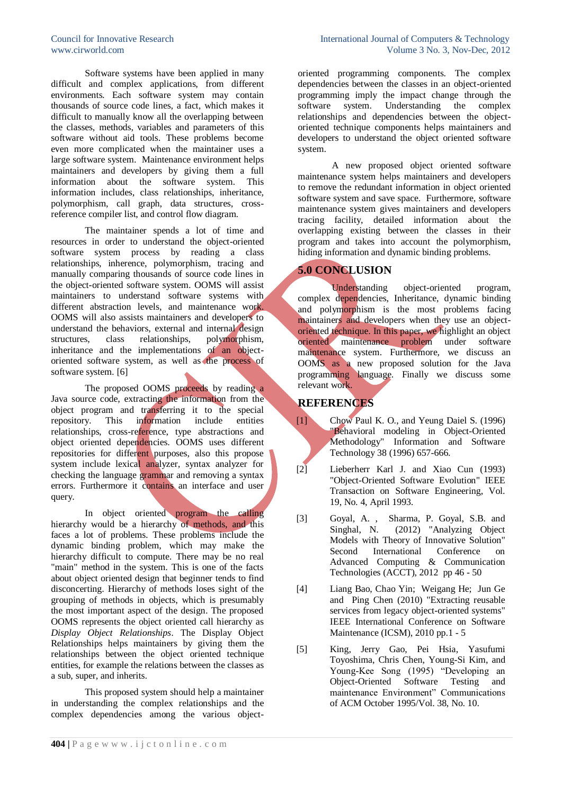Software systems have been applied in many difficult and complex applications, from different environments. Each software system may contain thousands of source code lines, a fact, which makes it difficult to manually know all the overlapping between the classes, methods, variables and parameters of this software without aid tools. These problems become even more complicated when the maintainer uses a large software system. Maintenance environment helps maintainers and developers by giving them a full information about the software system. This information includes, class relationships, inheritance, polymorphism, call graph, data structures, crossreference compiler list, and control flow diagram.

The maintainer spends a lot of time and resources in order to understand the object-oriented software system process by reading a class relationships, inherence, polymorphism, tracing and manually comparing thousands of source code lines in the object-oriented software system. OOMS will assist maintainers to understand software systems with different abstraction levels, and maintenance work. OOMS will also assists maintainers and developers to understand the behaviors, external and internal design structures, class relationships, polymorphism, inheritance and the implementations of an objectoriented software system, as well as the process of software system. [6]

The proposed OOMS proceeds by reading a Java source code, extracting the information from the object program and transferring it to the special repository. This information include entities relationships, cross-reference, type abstractions and object oriented dependencies. OOMS uses different repositories for different purposes, also this propose system include lexical analyzer, syntax analyzer for checking the language grammar and removing a syntax errors. Furthermore it contains an interface and user query.

In object oriented program the calling hierarchy would be a hierarchy of methods, and this faces a lot of problems. These problems include the dynamic binding problem, which may make the hierarchy difficult to compute. There may be no real "main" method in the system. This is one of the facts about object oriented design that beginner tends to find disconcerting. Hierarchy of methods loses sight of the grouping of methods in objects, which is presumably the most important aspect of the design. The proposed OOMS represents the object oriented call hierarchy as *Display Object Relationships*. The Display Object Relationships helps maintainers by giving them the relationships between the object oriented technique entities, for example the relations between the classes as a sub, super, and inherits.

This proposed system should help a maintainer in understanding the complex relationships and the complex dependencies among the various objectoriented programming components. The complex dependencies between the classes in an object-oriented programming imply the impact change through the software system. Understanding the complex relationships and dependencies between the objectoriented technique components helps maintainers and developers to understand the object oriented software system.

A new proposed object oriented software maintenance system helps maintainers and developers to remove the redundant information in object oriented software system and save space. Furthermore, software maintenance system gives maintainers and developers tracing facility, detailed information about the overlapping existing between the classes in their program and takes into account the polymorphism, hiding information and dynamic binding problems.

### **5.0 CONCLUSION**

Understanding object-oriented program, complex dependencies, Inheritance, dynamic binding and polymorphism is the most problems facing maintainers and developers when they use an objectoriented technique. In this paper, we highlight an object oriented maintenance problem under software maintenance system. Furthermore, we discuss an OOMS as a new proposed solution for the Java programming language. Finally we discuss some relevant work.

# **REFERENCES**

- [1] Chow Paul K. O., and Yeung Daiel S. (1996) "Behavioral modeling in Object-Oriented Methodology" Information and Software Technology 38 (1996) 657-666.
- [2] Lieberherr Karl J. and Xiao Cun (1993) "Object-Oriented Software Evolution" IEEE Transaction on Software Engineering, Vol. 19, No. 4, April 1993.
- [3] Goyal, A. , Sharma, P. Goyal, S.B. and Singhal, N. (2012) "Analyzing Object Models with Theory of Innovative Solution" Second International Conference on Advanced Computing & Communication Technologies (ACCT),  $2012$  pp 46 - 50
- [4] Liang Bao, Chao Yin; Weigang He; Jun Ge and Ping Chen (2010) "Extracting reusable services from legacy object-oriented systems" IEEE International Conference on Software Maintenance (ICSM), 2010 pp.1 - 5
- [5] King, Jerry Gao, Pei Hsia, Yasufumi Toyoshima, Chris Chen, Young-Si Kim, and Young-Kee Song (1995) "Developing an Object-Oriented Software Testing and maintenance Environment" Communications of ACM October 1995/Vol. 38, No. 10.